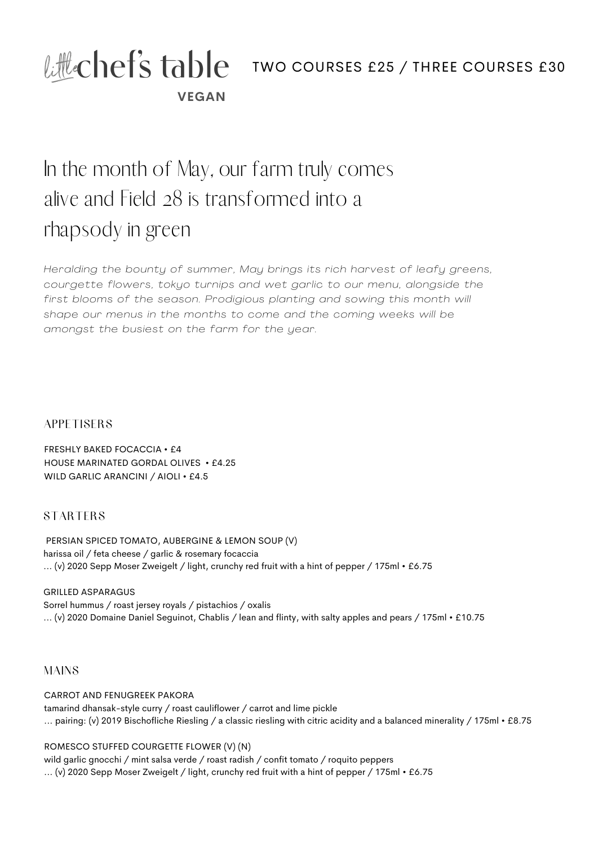# **VEGAN** Lillechef's table two courses £25 / THREE COURSES £30

# In the month of May, our farm truly comes alive and Field 28 is transformed into a rhapsody in green

*Heralding the bounty of summer, May brings its rich harvest of leafy greens, courgette flowers, tokyo turnips and wet garl ic to our menu, alongside the first blooms of the season. Prodigious planting and sowing this month wi l l shape our menus in the months to come and the coming weeks wi l l be amongst the busiest on the farm for the year.*

#### **APPETISERS**

FRESHLY BAKED FOCACCIA • £4 HOUSE MARINATED GORDAL OLIVES • £4.25 WILD GARLIC ARANCINI / AIOLI • £4.5

## STARTERS

PERSIAN SPICED TOMATO, AUBERGINE & LEMON SOUP (V) harissa oil / feta cheese / garlic & rosemary focaccia ... (v) 2020 Sepp Moser Zweigelt / light, crunchy red fruit with a hint of pepper / 175ml • £6.75

GRILLED ASPARAGUS Sorrel hummus / roast jersey royals / pistachios / oxalis ... (v) 2020 Domaine Daniel Seguinot, Chablis / lean and flinty, with salty apples and pears / 175ml • £10.75

## MAINS

CARROT AND FENUGREEK PAKORA tamarind dhansak-style curry / roast cauliflower / carrot and lime pickle ... pairing: (v) 2019 Bischofliche Riesling / a classic riesling with citric acidity and a balanced minerality / 175ml • £8.75

#### ROMESCO STUFFED COURGETTE FLOWER (V) (N)

wild garlic gnocchi / mint salsa verde / roast radish / confit tomato / roquito peppers ... (v) 2020 Sepp Moser Zweigelt / light, crunchy red fruit with a hint of pepper / 175ml • £6.75